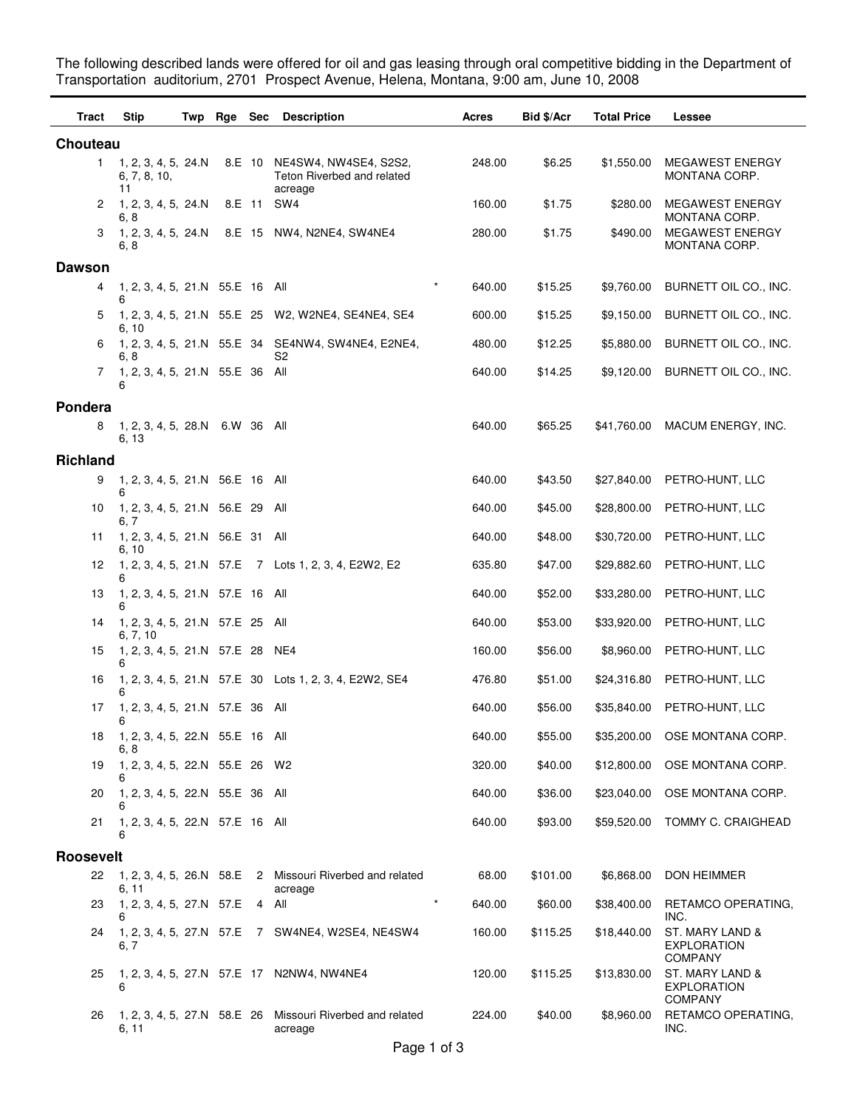The following described lands were offered for oil and gas leasing through oral competitive bidding in the Department of Transportation auditorium, 2701 Prospect Avenue, Helena, Montana, 9:00 am, June 10, 2008

| Tract            | <b>Stip</b>                                 | Twp | Rge Sec |        | <b>Description</b>                                                           | Acres  | Bid \$/Acr | <b>Total Price</b> | Lessee                                                  |
|------------------|---------------------------------------------|-----|---------|--------|------------------------------------------------------------------------------|--------|------------|--------------------|---------------------------------------------------------|
| Chouteau         |                                             |     |         |        |                                                                              |        |            |                    |                                                         |
| $\mathbf{1}$     | 1, 2, 3, 4, 5, 24. N<br>6, 7, 8, 10,<br>11  |     |         |        | 8.E 10 NE4SW4, NW4SE4, S2S2,<br><b>Teton Riverbed and related</b><br>acreage | 248.00 | \$6.25     | \$1,550.00         | <b>MEGAWEST ENERGY</b><br>MONTANA CORP.                 |
| 2                | 1, 2, 3, 4, 5, 24.N<br>6, 8                 |     |         | 8.E 11 | SW4                                                                          | 160.00 | \$1.75     | \$280.00           | <b>MEGAWEST ENERGY</b><br>MONTANA CORP.                 |
| 3                | 1, 2, 3, 4, 5, 24.N<br>6, 8                 |     |         |        | 8.E 15 NW4, N2NE4, SW4NE4                                                    | 280.00 | \$1.75     | \$490.00           | <b>MEGAWEST ENERGY</b><br>MONTANA CORP.                 |
| <b>Dawson</b>    |                                             |     |         |        |                                                                              |        |            |                    |                                                         |
| 4                | 1, 2, 3, 4, 5, 21.N 55.E 16 All<br>6        |     |         |        | $\star$                                                                      | 640.00 | \$15.25    | \$9,760.00         | BURNETT OIL CO., INC.                                   |
| 5                | 6, 10                                       |     |         |        | 1, 2, 3, 4, 5, 21.N 55.E 25 W2, W2NE4, SE4NE4, SE4                           | 600.00 | \$15.25    | \$9,150.00         | BURNETT OIL CO., INC.                                   |
| 6                | 6, 8                                        |     |         |        | 1, 2, 3, 4, 5, 21.N 55.E 34 SE4NW4, SW4NE4, E2NE4,<br>S2                     | 480.00 | \$12.25    | \$5,880.00         | BURNETT OIL CO., INC.                                   |
| 7                | 1, 2, 3, 4, 5, 21.N 55.E 36 All<br>6        |     |         |        |                                                                              | 640.00 | \$14.25    | \$9,120.00         | BURNETT OIL CO., INC.                                   |
| Pondera          |                                             |     |         |        |                                                                              |        |            |                    |                                                         |
| 8                | 1, 2, 3, 4, 5, 28.N 6.W 36 All<br>6, 13     |     |         |        |                                                                              | 640.00 | \$65.25    | \$41,760.00        | MACUM ENERGY, INC.                                      |
| <b>Richland</b>  |                                             |     |         |        |                                                                              |        |            |                    |                                                         |
| 9                | 1, 2, 3, 4, 5, 21.N 56.E 16 All<br>6        |     |         |        |                                                                              | 640.00 | \$43.50    | \$27,840.00        | PETRO-HUNT, LLC                                         |
| 10               | 1, 2, 3, 4, 5, 21.N 56.E 29 All<br>6, 7     |     |         |        |                                                                              | 640.00 | \$45.00    | \$28,800.00        | PETRO-HUNT, LLC                                         |
| 11               | 1, 2, 3, 4, 5, 21.N 56.E 31 All<br>6, 10    |     |         |        |                                                                              | 640.00 | \$48.00    | \$30,720.00        | PETRO-HUNT, LLC                                         |
| 12               | 6                                           |     |         |        | 1, 2, 3, 4, 5, 21.N 57.E 7 Lots 1, 2, 3, 4, E2W2, E2                         | 635.80 | \$47.00    | \$29,882.60        | PETRO-HUNT, LLC                                         |
| 13               | 1, 2, 3, 4, 5, 21.N 57.E 16 All<br>6        |     |         |        |                                                                              | 640.00 | \$52.00    | \$33,280.00        | PETRO-HUNT, LLC                                         |
| 14               | 1, 2, 3, 4, 5, 21.N 57.E 25 All<br>6, 7, 10 |     |         |        |                                                                              | 640.00 | \$53.00    | \$33,920.00        | PETRO-HUNT, LLC                                         |
| 15               | 1, 2, 3, 4, 5, 21.N 57.E 28 NE4<br>6        |     |         |        |                                                                              | 160.00 | \$56.00    | \$8,960.00         | PETRO-HUNT, LLC                                         |
| 16               | 6                                           |     |         |        | 1, 2, 3, 4, 5, 21.N 57.E 30 Lots 1, 2, 3, 4, E2W2, SE4                       | 476.80 | \$51.00    | \$24,316.80        | PETRO-HUNT, LLC                                         |
| 17               | 1, 2, 3, 4, 5, 21.N 57.E 36 All<br>6        |     |         |        |                                                                              | 640.00 | \$56.00    | \$35,840.00        | PETRO-HUNT, LLC                                         |
| 18               | 1, 2, 3, 4, 5, 22.N 55.E 16 All<br>6, 8     |     |         |        |                                                                              | 640.00 | \$55.00    | \$35,200.00        | OSE MONTANA CORP.                                       |
| 19               | 1, 2, 3, 4, 5, 22.N 55.E 26 W2<br>6         |     |         |        |                                                                              | 320.00 | \$40.00    | \$12,800.00        | OSE MONTANA CORP.                                       |
| 20               | 1, 2, 3, 4, 5, 22.N 55.E 36 All<br>6        |     |         |        |                                                                              | 640.00 | \$36.00    | \$23,040.00        | OSE MONTANA CORP.                                       |
| 21               | 1, 2, 3, 4, 5, 22.N 57.E 16 All<br>6        |     |         |        |                                                                              | 640.00 | \$93.00    | \$59,520.00        | TOMMY C. CRAIGHEAD                                      |
| <b>Roosevelt</b> |                                             |     |         |        |                                                                              |        |            |                    |                                                         |
| 22               | 6, 11                                       |     |         |        | 1, 2, 3, 4, 5, 26.N 58.E 2 Missouri Riverbed and related<br>acreage          | 68.00  | \$101.00   | \$6,868.00         | DON HEIMMER                                             |
| 23               | 1, 2, 3, 4, 5, 27.N 57.E<br>6               |     |         |        | $\star$<br>4 All                                                             | 640.00 | \$60.00    | \$38,400.00        | RETAMCO OPERATING,<br>INC.                              |
| 24               | 6, 7                                        |     |         |        | 1, 2, 3, 4, 5, 27.N 57.E 7 SW4NE4, W2SE4, NE4SW4                             | 160.00 | \$115.25   | \$18,440.00        | ST. MARY LAND &<br><b>EXPLORATION</b><br><b>COMPANY</b> |
| 25               | 6                                           |     |         |        | 1, 2, 3, 4, 5, 27.N 57.E 17 N2NW4, NW4NE4                                    | 120.00 | \$115.25   | \$13,830.00        | ST. MARY LAND &<br><b>EXPLORATION</b><br><b>COMPANY</b> |
| 26               | 1, 2, 3, 4, 5, 27.N 58.E 26<br>6, 11        |     |         |        | Missouri Riverbed and related<br>acreage                                     | 224.00 | \$40.00    | \$8,960.00         | RETAMCO OPERATING,<br>INC.                              |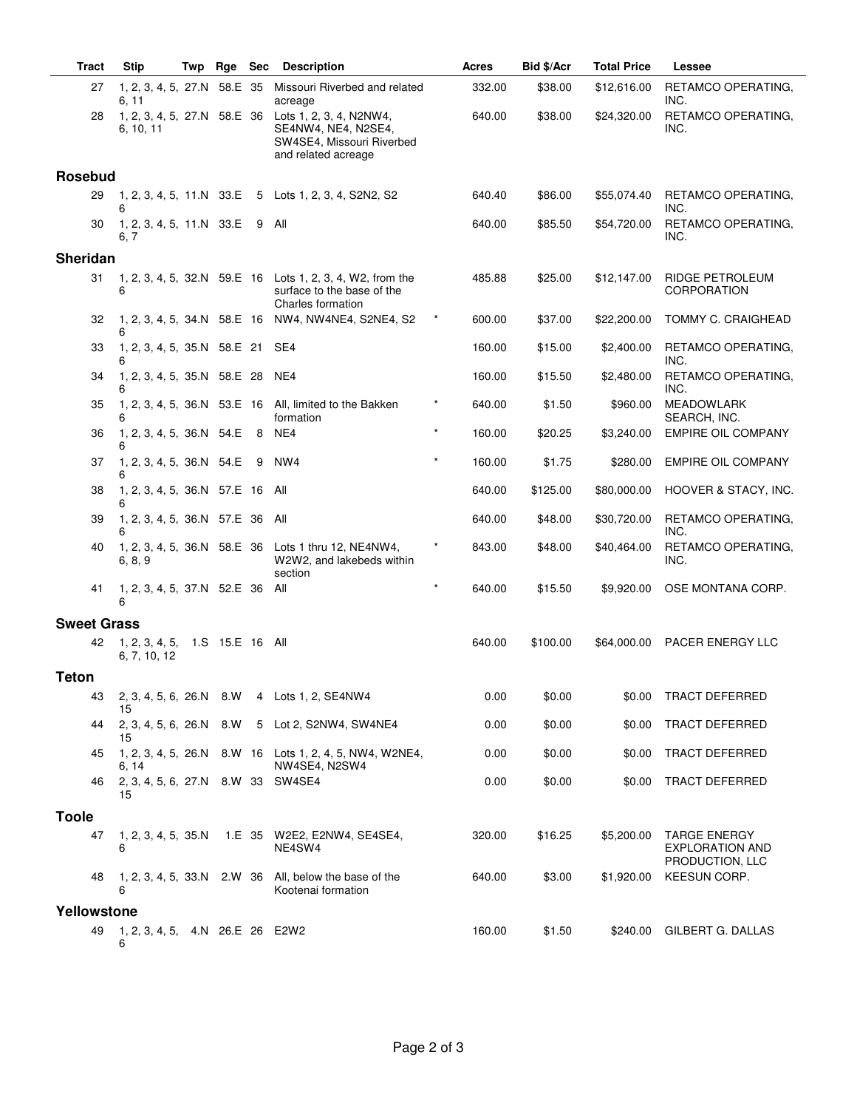| <b>Tract</b>       | <b>Stip</b>                                    | Twp | Rge | <b>Sec</b> | <b>Description</b>                                                                                 |         | Acres  | Bid \$/Acr | <b>Total Price</b> | Lessee                                                           |
|--------------------|------------------------------------------------|-----|-----|------------|----------------------------------------------------------------------------------------------------|---------|--------|------------|--------------------|------------------------------------------------------------------|
| 27                 | 1, 2, 3, 4, 5, 27.N 58.E 35<br>6.11            |     |     |            | Missouri Riverbed and related<br>acreage                                                           |         | 332.00 | \$38.00    | \$12,616.00        | RETAMCO OPERATING,<br>INC.                                       |
| 28                 | 1, 2, 3, 4, 5, 27.N 58.E 36<br>6, 10, 11       |     |     |            | Lots 1, 2, 3, 4, N2NW4,<br>SE4NW4, NE4, N2SE4,<br>SW4SE4, Missouri Riverbed<br>and related acreage |         | 640.00 | \$38.00    | \$24,320.00        | RETAMCO OPERATING,<br>INC.                                       |
| <b>Rosebud</b>     |                                                |     |     |            |                                                                                                    |         |        |            |                    |                                                                  |
| 29                 | 6                                              |     |     |            | 1, 2, 3, 4, 5, 11.N 33.E 5 Lots 1, 2, 3, 4, S2N2, S2                                               |         | 640.40 | \$86.00    | \$55,074.40        | RETAMCO OPERATING,<br>INC.                                       |
| 30                 | 1, 2, 3, 4, 5, 11.N 33.E<br>6.7                |     |     | - 9        | All                                                                                                |         | 640.00 | \$85.50    | \$54,720.00        | RETAMCO OPERATING,<br>INC.                                       |
| <b>Sheridan</b>    |                                                |     |     |            |                                                                                                    |         |        |            |                    |                                                                  |
| 31                 | 6                                              |     |     |            | 1, 2, 3, 4, 5, 32. N 59. E 16 Lots 1, 2, 3, 4, W2, from the<br>surface to the base of the          |         | 485.88 | \$25.00    | \$12,147.00        | RIDGE PETROLEUM<br>CORPORATION                                   |
| 32                 | 1, 2, 3, 4, 5, 34.N 58.E 16<br>6               |     |     |            | Charles formation<br>NW4, NW4NE4, S2NE4, S2                                                        |         | 600.00 | \$37.00    | \$22,200.00        | TOMMY C. CRAIGHEAD                                               |
| 33                 | 1, 2, 3, 4, 5, 35.N 58.E 21<br>6               |     |     |            | SE4                                                                                                |         | 160.00 | \$15.00    | \$2,400.00         | RETAMCO OPERATING,<br>INC.                                       |
| 34                 | 1, 2, 3, 4, 5, 35.N 58.E 28<br>6               |     |     |            | NE4                                                                                                |         | 160.00 | \$15.50    | \$2,480.00         | RETAMCO OPERATING,<br>INC.                                       |
| 35                 | 1, 2, 3, 4, 5, 36.N 53.E 16<br>6               |     |     |            | All, limited to the Bakken<br>formation                                                            |         | 640.00 | \$1.50     | \$960.00           | <b>MEADOWLARK</b><br>SEARCH, INC.                                |
| 36                 | 1, 2, 3, 4, 5, 36.N 54.E<br>6                  |     |     | 8          | NE4                                                                                                | $\star$ | 160.00 | \$20.25    | \$3,240.00         | <b>EMPIRE OIL COMPANY</b>                                        |
| 37                 | 1, 2, 3, 4, 5, 36.N 54.E<br>6                  |     |     | 9          | NW <sub>4</sub>                                                                                    |         | 160.00 | \$1.75     | \$280.00           | <b>EMPIRE OIL COMPANY</b>                                        |
| 38                 | 1, 2, 3, 4, 5, 36.N 57.E 16 All<br>6           |     |     |            |                                                                                                    |         | 640.00 | \$125.00   | \$80,000.00        | HOOVER & STACY, INC.                                             |
| 39                 | 1, 2, 3, 4, 5, 36.N 57.E 36 All<br>6           |     |     |            |                                                                                                    |         | 640.00 | \$48.00    | \$30,720.00        | RETAMCO OPERATING,<br>INC.                                       |
| 40                 | 6, 8, 9                                        |     |     |            | 1, 2, 3, 4, 5, 36.N 58.E 36 Lots 1 thru 12, NE4NW4,<br>W2W2, and lakebeds within<br>section        |         | 843.00 | \$48.00    | \$40,464.00        | RETAMCO OPERATING,<br>INC.                                       |
| 41                 | 1, 2, 3, 4, 5, 37.N 52.E 36 All<br>6           |     |     |            |                                                                                                    | $\star$ | 640.00 | \$15.50    | \$9,920.00         | OSE MONTANA CORP.                                                |
| <b>Sweet Grass</b> |                                                |     |     |            |                                                                                                    |         |        |            |                    |                                                                  |
| 42                 | 1, 2, 3, 4, 5, 1.S 15.E 16 All<br>6, 7, 10, 12 |     |     |            |                                                                                                    |         | 640.00 | \$100.00   | \$64,000.00        | PACER ENERGY LLC                                                 |
| <b>Teton</b>       |                                                |     |     |            |                                                                                                    |         |        |            |                    |                                                                  |
| 43                 | 2, 3, 4, 5, 6, 26.N 8.W<br>15                  |     |     |            | 4 Lots 1, 2, SE4NW4                                                                                |         | 0.00   | \$0.00     | \$0.00             | <b>TRACT DEFERRED</b>                                            |
| 44                 | 2, 3, 4, 5, 6, 26.N 8.W<br>15                  |     |     |            | 5 Lot 2, S2NW4, SW4NE4                                                                             |         | 0.00   | \$0.00     | \$0.00             | TRACT DEFERRED                                                   |
| 45                 | 6. 14                                          |     |     |            | 1, 2, 3, 4, 5, 26. N 8. W 16 Lots 1, 2, 4, 5, NW4, W2NE4,<br>NW4SE4, N2SW4                         |         | 0.00   | \$0.00     | \$0.00             | TRACT DEFERRED                                                   |
| 46                 | 2, 3, 4, 5, 6, 27.N 8.W 33 SW4SE4<br>15        |     |     |            |                                                                                                    |         | 0.00   | \$0.00     | \$0.00             | <b>TRACT DEFERRED</b>                                            |
| <b>Toole</b>       |                                                |     |     |            |                                                                                                    |         |        |            |                    |                                                                  |
| 47                 | 1, 2, 3, 4, 5, 35. N<br>6                      |     |     |            | 1.E 35 W2E2, E2NW4, SE4SE4,<br>NE4SW4                                                              |         | 320.00 | \$16.25    | \$5,200.00         | <b>TARGE ENERGY</b><br><b>EXPLORATION AND</b><br>PRODUCTION, LLC |
| 48                 | 1, 2, 3, 4, 5, 33.N 2.W 36<br>6                |     |     |            | All, below the base of the<br>Kootenai formation                                                   |         | 640.00 | \$3.00     | \$1,920.00         | KEESUN CORP.                                                     |
| Yellowstone        |                                                |     |     |            |                                                                                                    |         |        |            |                    |                                                                  |
| 49                 | 1, 2, 3, 4, 5, 4.N 26.E 26 E2W2<br>6           |     |     |            |                                                                                                    |         | 160.00 | \$1.50     |                    | \$240.00 GILBERT G. DALLAS                                       |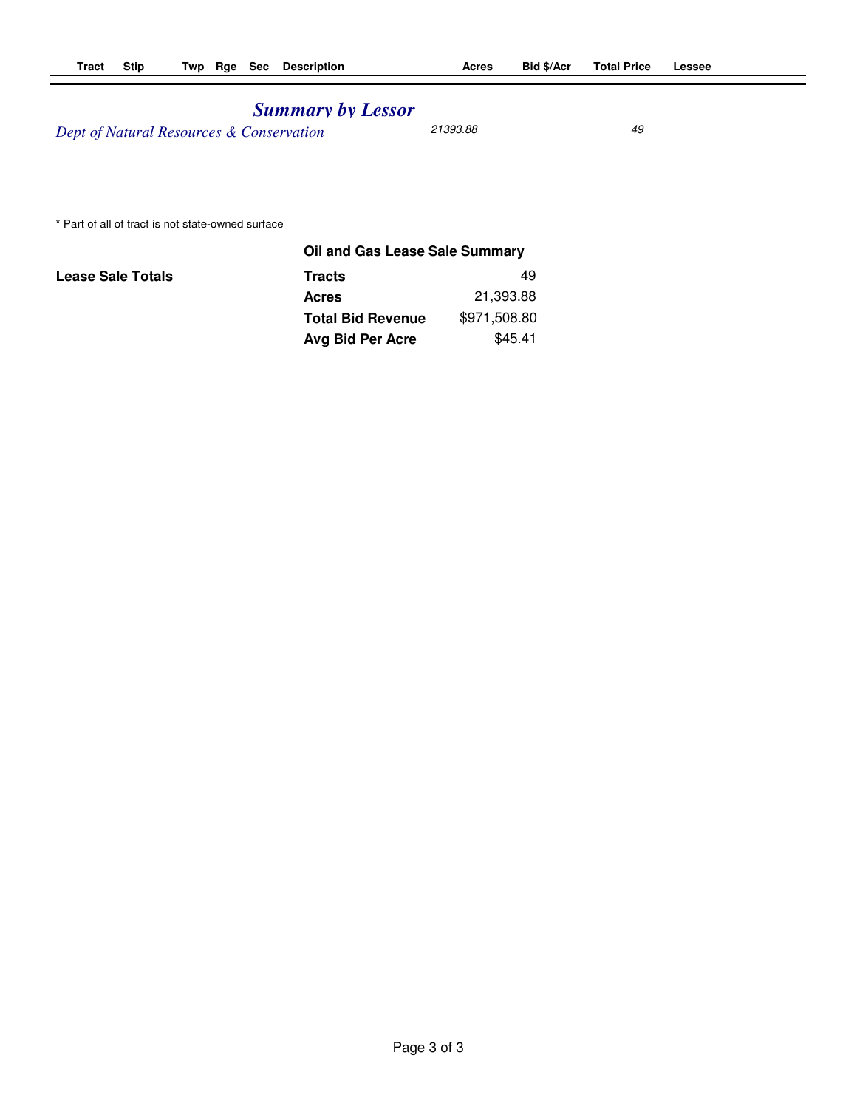## *Summary by Lessor*

*Dept of Natural Resources & Conservation* 21393.88 49

\* Part of all of tract is not state-owned surface

|                          | Oil and Gas Lease Sale Summary |              |  |
|--------------------------|--------------------------------|--------------|--|
| <b>Lease Sale Totals</b> | Tracts                         | 49           |  |
|                          | <b>Acres</b>                   | 21,393.88    |  |
|                          | <b>Total Bid Revenue</b>       | \$971,508.80 |  |
|                          | Avg Bid Per Acre               | \$45.41      |  |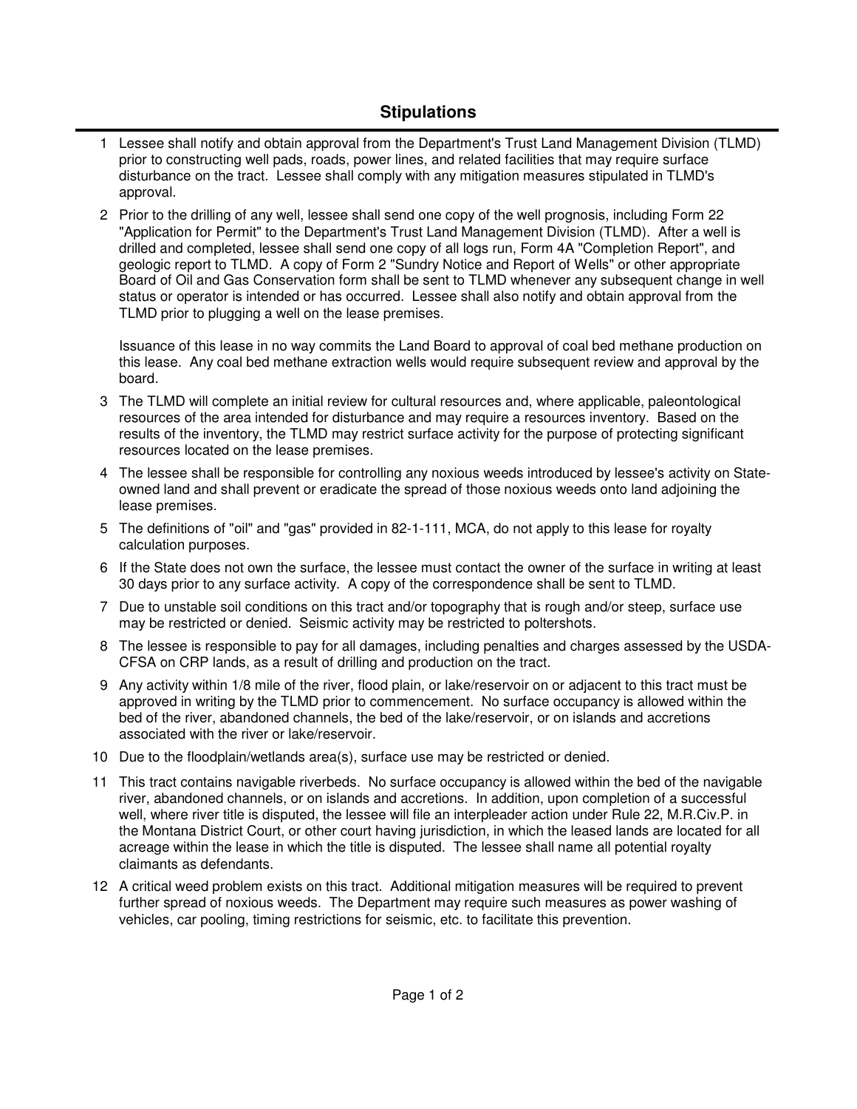## **Stipulations**

- 1 Lessee shall notify and obtain approval from the Department's Trust Land Management Division (TLMD) prior to constructing well pads, roads, power lines, and related facilities that may require surface disturbance on the tract. Lessee shall comply with any mitigation measures stipulated in TLMD's approval.
- 2 Prior to the drilling of any well, lessee shall send one copy of the well prognosis, including Form 22 "Application for Permit" to the Department's Trust Land Management Division (TLMD). After a well is drilled and completed, lessee shall send one copy of all logs run, Form 4A "Completion Report", and geologic report to TLMD. A copy of Form 2 "Sundry Notice and Report of Wells" or other appropriate Board of Oil and Gas Conservation form shall be sent to TLMD whenever any subsequent change in well status or operator is intended or has occurred. Lessee shall also notify and obtain approval from the TLMD prior to plugging a well on the lease premises.

Issuance of this lease in no way commits the Land Board to approval of coal bed methane production on this lease. Any coal bed methane extraction wells would require subsequent review and approval by the board.

- The TLMD will complete an initial review for cultural resources and, where applicable, paleontological 3 resources of the area intended for disturbance and may require a resources inventory. Based on the results of the inventory, the TLMD may restrict surface activity for the purpose of protecting significant resources located on the lease premises.
- The lessee shall be responsible for controlling any noxious weeds introduced by lessee's activity on State-4 owned land and shall prevent or eradicate the spread of those noxious weeds onto land adjoining the lease premises.
- 5 The definitions of "oil" and "gas" provided in 82-1-111, MCA, do not apply to this lease for royalty calculation purposes.
- 6 If the State does not own the surface, the lessee must contact the owner of the surface in writing at least 30 days prior to any surface activity. A copy of the correspondence shall be sent to TLMD.
- 7 Due to unstable soil conditions on this tract and/or topography that is rough and/or steep, surface use may be restricted or denied. Seismic activity may be restricted to poltershots.
- 8 The lessee is responsible to pay for all damages, including penalties and charges assessed by the USDA-CFSA on CRP lands, as a result of drilling and production on the tract.
- Any activity within 1/8 mile of the river, flood plain, or lake/reservoir on or adjacent to this tract must be 9 approved in writing by the TLMD prior to commencement. No surface occupancy is allowed within the bed of the river, abandoned channels, the bed of the lake/reservoir, or on islands and accretions associated with the river or lake/reservoir.
- 10 Due to the floodplain/wetlands area(s), surface use may be restricted or denied.
- This tract contains navigable riverbeds. No surface occupancy is allowed within the bed of the navigable 11 river, abandoned channels, or on islands and accretions. In addition, upon completion of a successful well, where river title is disputed, the lessee will file an interpleader action under Rule 22, M.R.Civ.P. in the Montana District Court, or other court having jurisdiction, in which the leased lands are located for all acreage within the lease in which the title is disputed. The lessee shall name all potential royalty claimants as defendants.
- A critical weed problem exists on this tract. Additional mitigation measures will be required to prevent 12 further spread of noxious weeds. The Department may require such measures as power washing of vehicles, car pooling, timing restrictions for seismic, etc. to facilitate this prevention.